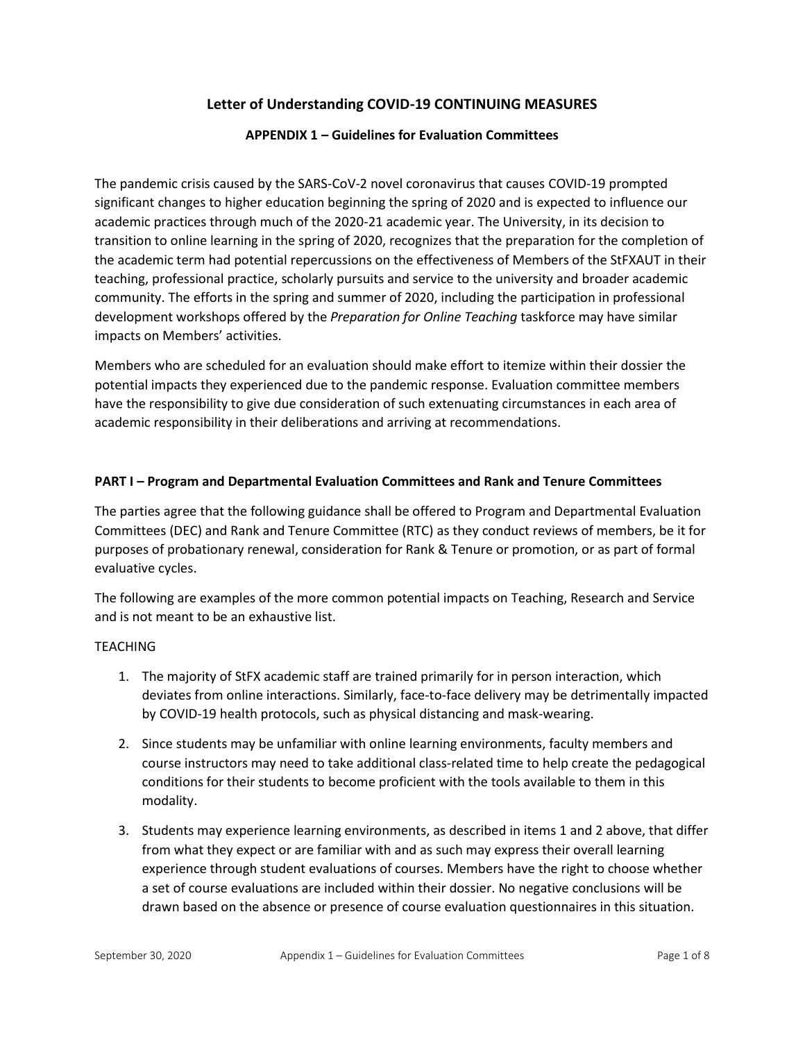# **Letter of Understanding COVID-19 CONTINUING MEASURES**

# **APPENDIX 1 – Guidelines for Evaluation Committees**

The pandemic crisis caused by the SARS-CoV-2 novel coronavirus that causes COVID-19 prompted significant changes to higher education beginning the spring of 2020 and is expected to influence our academic practices through much of the 2020-21 academic year. The University, in its decision to transition to online learning in the spring of 2020, recognizes that the preparation for the completion of the academic term had potential repercussions on the effectiveness of Members of the StFXAUT in their teaching, professional practice, scholarly pursuits and service to the university and broader academic community. The efforts in the spring and summer of 2020, including the participation in professional development workshops offered by the *Preparation for Online Teaching* taskforce may have similar impacts on Members' activities.

Members who are scheduled for an evaluation should make effort to itemize within their dossier the potential impacts they experienced due to the pandemic response. Evaluation committee members have the responsibility to give due consideration of such extenuating circumstances in each area of academic responsibility in their deliberations and arriving at recommendations.

### **PART I – Program and Departmental Evaluation Committees and Rank and Tenure Committees**

The parties agree that the following guidance shall be offered to Program and Departmental Evaluation Committees (DEC) and Rank and Tenure Committee (RTC) as they conduct reviews of members, be it for purposes of probationary renewal, consideration for Rank & Tenure or promotion, or as part of formal evaluative cycles.

The following are examples of the more common potential impacts on Teaching, Research and Service and is not meant to be an exhaustive list.

# TEACHING

- 1. The majority of StFX academic staff are trained primarily for in person interaction, which deviates from online interactions. Similarly, face-to-face delivery may be detrimentally impacted by COVID-19 health protocols, such as physical distancing and mask-wearing.
- 2. Since students may be unfamiliar with online learning environments, faculty members and course instructors may need to take additional class-related time to help create the pedagogical conditions for their students to become proficient with the tools available to them in this modality.
- 3. Students may experience learning environments, as described in items 1 and 2 above, that differ from what they expect or are familiar with and as such may express their overall learning experience through student evaluations of courses. Members have the right to choose whether a set of course evaluations are included within their dossier. No negative conclusions will be drawn based on the absence or presence of course evaluation questionnaires in this situation.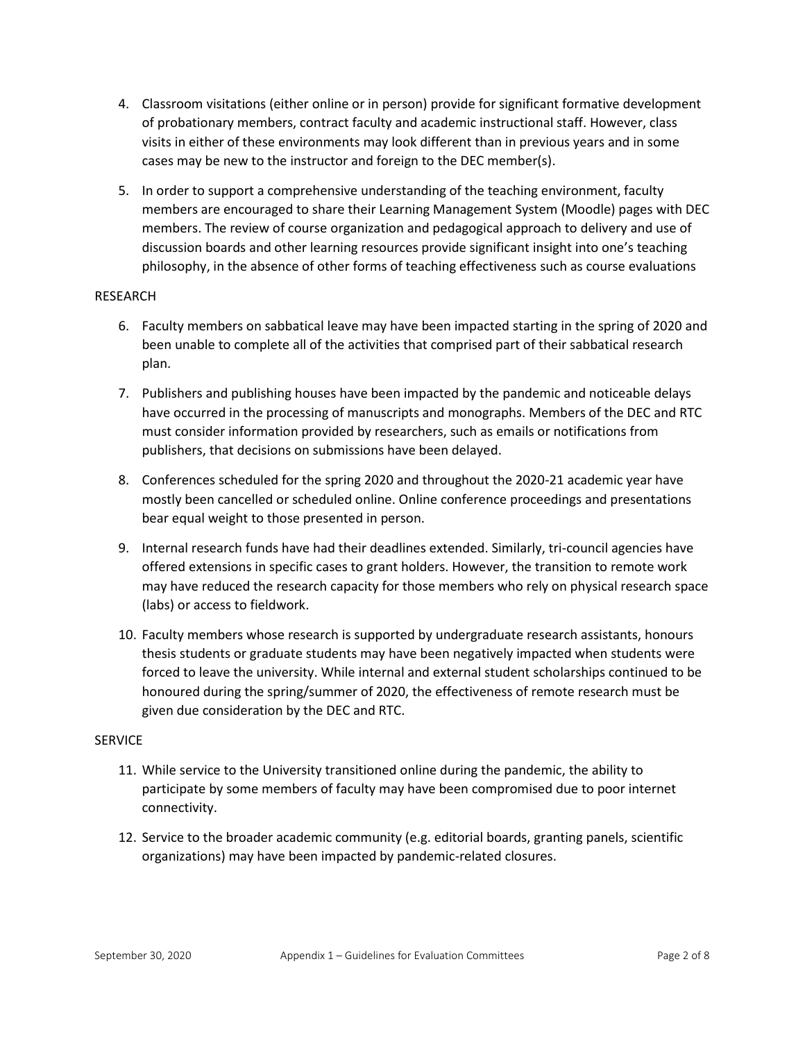- 4. Classroom visitations (either online or in person) provide for significant formative development of probationary members, contract faculty and academic instructional staff. However, class visits in either of these environments may look different than in previous years and in some cases may be new to the instructor and foreign to the DEC member(s).
- 5. In order to support a comprehensive understanding of the teaching environment, faculty members are encouraged to share their Learning Management System (Moodle) pages with DEC members. The review of course organization and pedagogical approach to delivery and use of discussion boards and other learning resources provide significant insight into one's teaching philosophy, in the absence of other forms of teaching effectiveness such as course evaluations

# RESEARCH

- 6. Faculty members on sabbatical leave may have been impacted starting in the spring of 2020 and been unable to complete all of the activities that comprised part of their sabbatical research plan.
- 7. Publishers and publishing houses have been impacted by the pandemic and noticeable delays have occurred in the processing of manuscripts and monographs. Members of the DEC and RTC must consider information provided by researchers, such as emails or notifications from publishers, that decisions on submissions have been delayed.
- 8. Conferences scheduled for the spring 2020 and throughout the 2020-21 academic year have mostly been cancelled or scheduled online. Online conference proceedings and presentations bear equal weight to those presented in person.
- 9. Internal research funds have had their deadlines extended. Similarly, tri-council agencies have offered extensions in specific cases to grant holders. However, the transition to remote work may have reduced the research capacity for those members who rely on physical research space (labs) or access to fieldwork.
- 10. Faculty members whose research is supported by undergraduate research assistants, honours thesis students or graduate students may have been negatively impacted when students were forced to leave the university. While internal and external student scholarships continued to be honoured during the spring/summer of 2020, the effectiveness of remote research must be given due consideration by the DEC and RTC.

# **SERVICE**

- 11. While service to the University transitioned online during the pandemic, the ability to participate by some members of faculty may have been compromised due to poor internet connectivity.
- 12. Service to the broader academic community (e.g. editorial boards, granting panels, scientific organizations) may have been impacted by pandemic-related closures.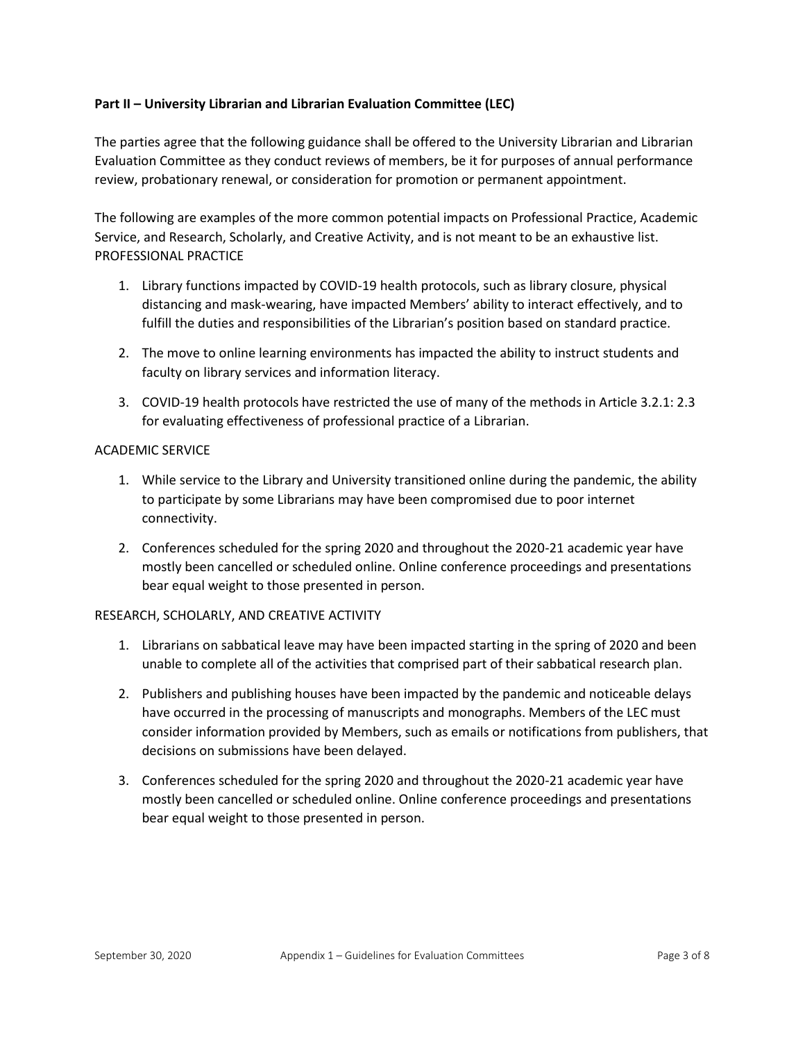# **Part II – University Librarian and Librarian Evaluation Committee (LEC)**

The parties agree that the following guidance shall be offered to the University Librarian and Librarian Evaluation Committee as they conduct reviews of members, be it for purposes of annual performance review, probationary renewal, or consideration for promotion or permanent appointment.

The following are examples of the more common potential impacts on Professional Practice, Academic Service, and Research, Scholarly, and Creative Activity, and is not meant to be an exhaustive list. PROFESSIONAL PRACTICE

- 1. Library functions impacted by COVID-19 health protocols, such as library closure, physical distancing and mask-wearing, have impacted Members' ability to interact effectively, and to fulfill the duties and responsibilities of the Librarian's position based on standard practice.
- 2. The move to online learning environments has impacted the ability to instruct students and faculty on library services and information literacy.
- 3. COVID-19 health protocols have restricted the use of many of the methods in Article 3.2.1: 2.3 for evaluating effectiveness of professional practice of a Librarian.

# ACADEMIC SERVICE

- 1. While service to the Library and University transitioned online during the pandemic, the ability to participate by some Librarians may have been compromised due to poor internet connectivity.
- 2. Conferences scheduled for the spring 2020 and throughout the 2020-21 academic year have mostly been cancelled or scheduled online. Online conference proceedings and presentations bear equal weight to those presented in person.

#### RESEARCH, SCHOLARLY, AND CREATIVE ACTIVITY

- 1. Librarians on sabbatical leave may have been impacted starting in the spring of 2020 and been unable to complete all of the activities that comprised part of their sabbatical research plan.
- 2. Publishers and publishing houses have been impacted by the pandemic and noticeable delays have occurred in the processing of manuscripts and monographs. Members of the LEC must consider information provided by Members, such as emails or notifications from publishers, that decisions on submissions have been delayed.
- 3. Conferences scheduled for the spring 2020 and throughout the 2020-21 academic year have mostly been cancelled or scheduled online. Online conference proceedings and presentations bear equal weight to those presented in person.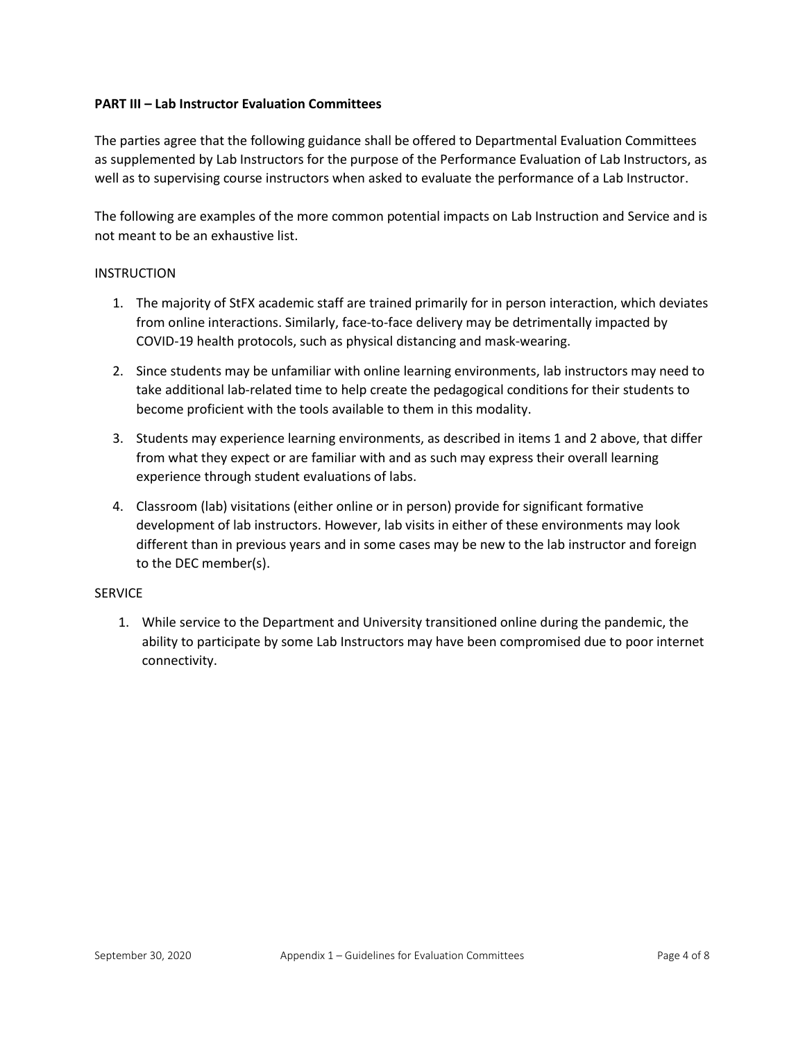## **PART III – Lab Instructor Evaluation Committees**

The parties agree that the following guidance shall be offered to Departmental Evaluation Committees as supplemented by Lab Instructors for the purpose of the Performance Evaluation of Lab Instructors, as well as to supervising course instructors when asked to evaluate the performance of a Lab Instructor.

The following are examples of the more common potential impacts on Lab Instruction and Service and is not meant to be an exhaustive list.

### **INSTRUCTION**

- 1. The majority of StFX academic staff are trained primarily for in person interaction, which deviates from online interactions. Similarly, face-to-face delivery may be detrimentally impacted by COVID-19 health protocols, such as physical distancing and mask-wearing.
- 2. Since students may be unfamiliar with online learning environments, lab instructors may need to take additional lab-related time to help create the pedagogical conditions for their students to become proficient with the tools available to them in this modality.
- 3. Students may experience learning environments, as described in items 1 and 2 above, that differ from what they expect or are familiar with and as such may express their overall learning experience through student evaluations of labs.
- 4. Classroom (lab) visitations (either online or in person) provide for significant formative development of lab instructors. However, lab visits in either of these environments may look different than in previous years and in some cases may be new to the lab instructor and foreign to the DEC member(s).

# **SERVICE**

1. While service to the Department and University transitioned online during the pandemic, the ability to participate by some Lab Instructors may have been compromised due to poor internet connectivity.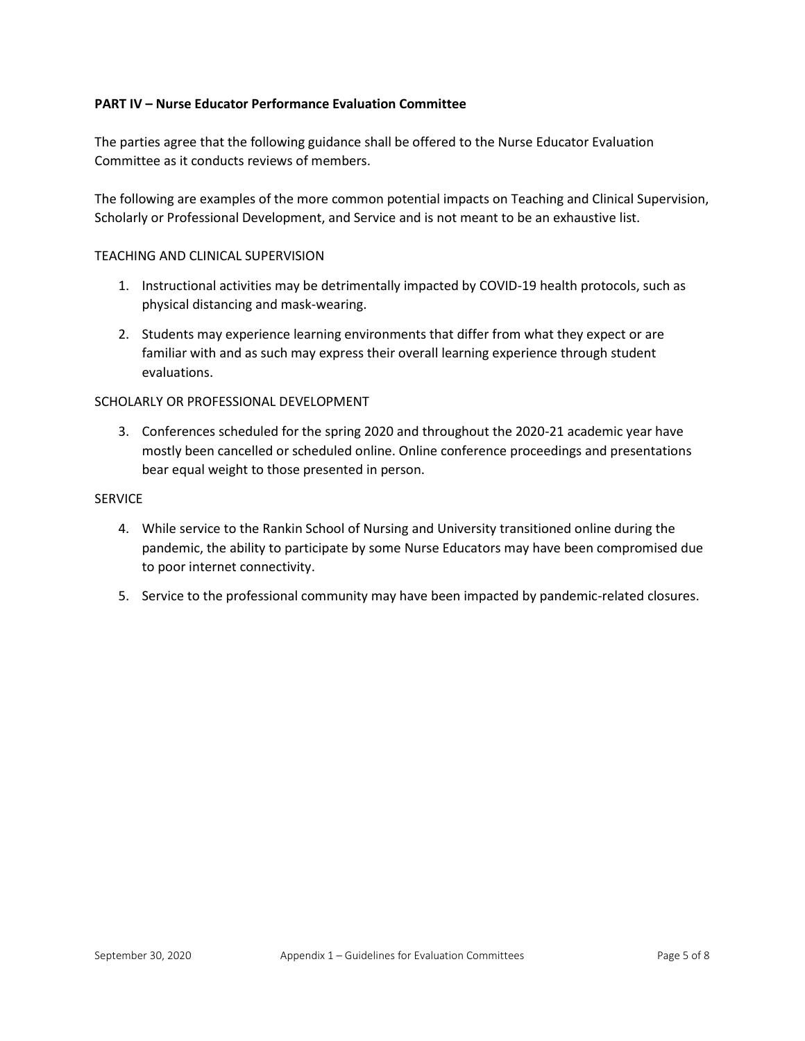# **PART IV – Nurse Educator Performance Evaluation Committee**

The parties agree that the following guidance shall be offered to the Nurse Educator Evaluation Committee as it conducts reviews of members.

The following are examples of the more common potential impacts on Teaching and Clinical Supervision, Scholarly or Professional Development, and Service and is not meant to be an exhaustive list.

#### TEACHING AND CLINICAL SUPERVISION

- 1. Instructional activities may be detrimentally impacted by COVID-19 health protocols, such as physical distancing and mask-wearing.
- 2. Students may experience learning environments that differ from what they expect or are familiar with and as such may express their overall learning experience through student evaluations.

### SCHOLARLY OR PROFESSIONAL DEVELOPMENT

3. Conferences scheduled for the spring 2020 and throughout the 2020-21 academic year have mostly been cancelled or scheduled online. Online conference proceedings and presentations bear equal weight to those presented in person.

### **SERVICE**

- 4. While service to the Rankin School of Nursing and University transitioned online during the pandemic, the ability to participate by some Nurse Educators may have been compromised due to poor internet connectivity.
- 5. Service to the professional community may have been impacted by pandemic-related closures.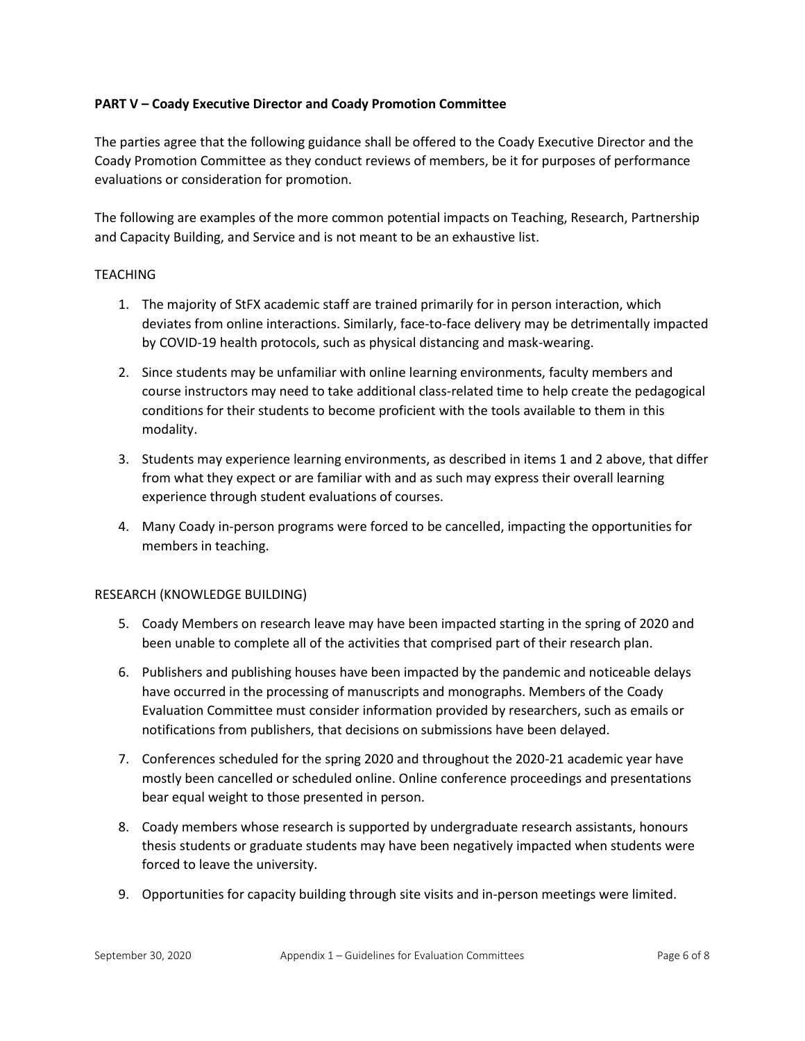# **PART V – Coady Executive Director and Coady Promotion Committee**

The parties agree that the following guidance shall be offered to the Coady Executive Director and the Coady Promotion Committee as they conduct reviews of members, be it for purposes of performance evaluations or consideration for promotion.

The following are examples of the more common potential impacts on Teaching, Research, Partnership and Capacity Building, and Service and is not meant to be an exhaustive list.

### TEACHING

- 1. The majority of StFX academic staff are trained primarily for in person interaction, which deviates from online interactions. Similarly, face-to-face delivery may be detrimentally impacted by COVID-19 health protocols, such as physical distancing and mask-wearing.
- 2. Since students may be unfamiliar with online learning environments, faculty members and course instructors may need to take additional class-related time to help create the pedagogical conditions for their students to become proficient with the tools available to them in this modality.
- 3. Students may experience learning environments, as described in items 1 and 2 above, that differ from what they expect or are familiar with and as such may express their overall learning experience through student evaluations of courses.
- 4. Many Coady in-person programs were forced to be cancelled, impacting the opportunities for members in teaching.

### RESEARCH (KNOWLEDGE BUILDING)

- 5. Coady Members on research leave may have been impacted starting in the spring of 2020 and been unable to complete all of the activities that comprised part of their research plan.
- 6. Publishers and publishing houses have been impacted by the pandemic and noticeable delays have occurred in the processing of manuscripts and monographs. Members of the Coady Evaluation Committee must consider information provided by researchers, such as emails or notifications from publishers, that decisions on submissions have been delayed.
- 7. Conferences scheduled for the spring 2020 and throughout the 2020-21 academic year have mostly been cancelled or scheduled online. Online conference proceedings and presentations bear equal weight to those presented in person.
- 8. Coady members whose research is supported by undergraduate research assistants, honours thesis students or graduate students may have been negatively impacted when students were forced to leave the university.
- 9. Opportunities for capacity building through site visits and in-person meetings were limited.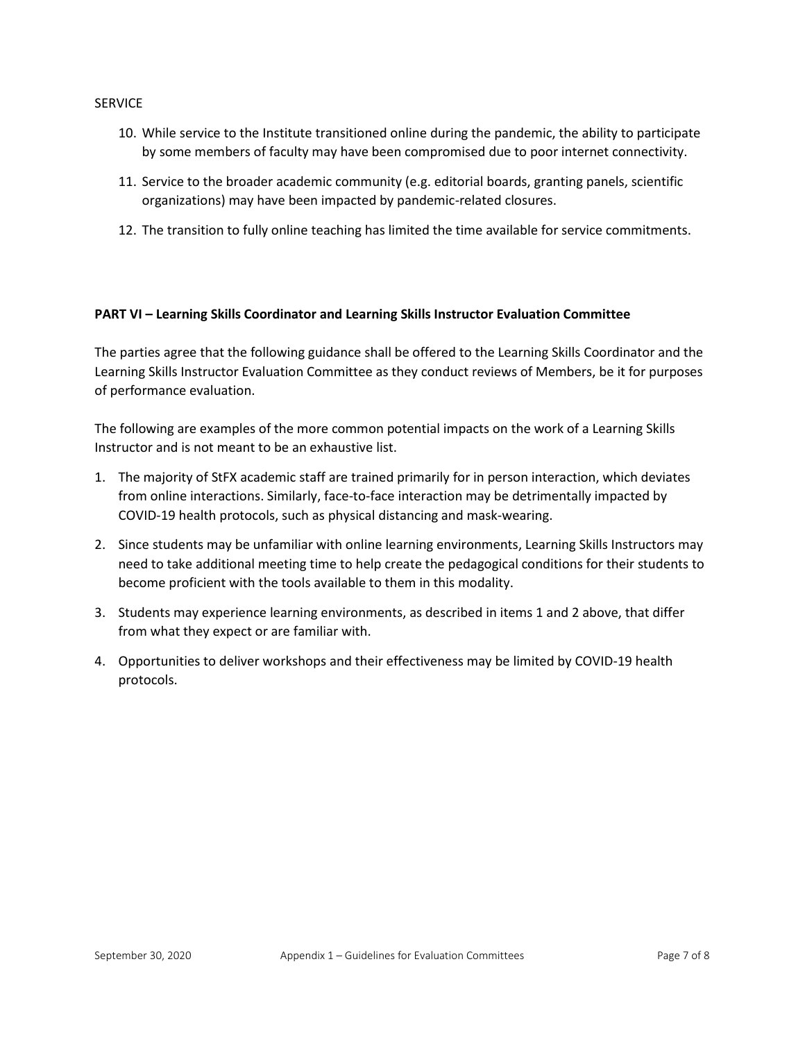#### **SERVICE**

- 10. While service to the Institute transitioned online during the pandemic, the ability to participate by some members of faculty may have been compromised due to poor internet connectivity.
- 11. Service to the broader academic community (e.g. editorial boards, granting panels, scientific organizations) may have been impacted by pandemic-related closures.
- 12. The transition to fully online teaching has limited the time available for service commitments.

### **PART VI – Learning Skills Coordinator and Learning Skills Instructor Evaluation Committee**

The parties agree that the following guidance shall be offered to the Learning Skills Coordinator and the Learning Skills Instructor Evaluation Committee as they conduct reviews of Members, be it for purposes of performance evaluation.

The following are examples of the more common potential impacts on the work of a Learning Skills Instructor and is not meant to be an exhaustive list.

- 1. The majority of StFX academic staff are trained primarily for in person interaction, which deviates from online interactions. Similarly, face-to-face interaction may be detrimentally impacted by COVID-19 health protocols, such as physical distancing and mask-wearing.
- 2. Since students may be unfamiliar with online learning environments, Learning Skills Instructors may need to take additional meeting time to help create the pedagogical conditions for their students to become proficient with the tools available to them in this modality.
- 3. Students may experience learning environments, as described in items 1 and 2 above, that differ from what they expect or are familiar with.
- 4. Opportunities to deliver workshops and their effectiveness may be limited by COVID-19 health protocols.